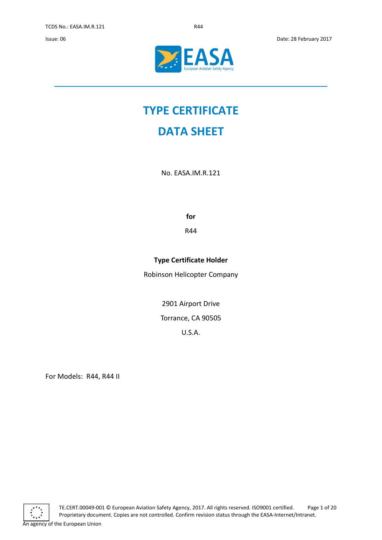

# **TYPE CERTIFICATE**

## **DATA SHEET**

No. EASA.IM.R.121

**for** 

R44

### **Type Certificate Holder**

Robinson Helicopter Company

2901 Airport Drive

Torrance, CA 90505

U.S.A.

For Models: R44, R44 II

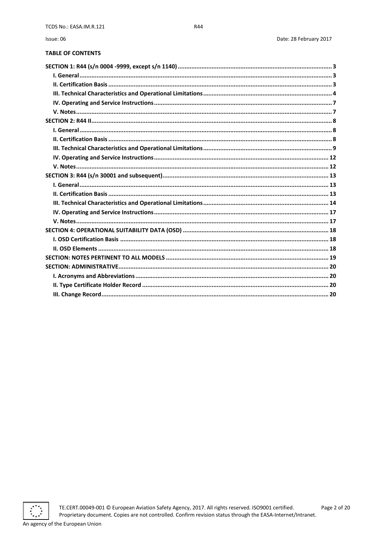### **TABLE OF CONTENTS**

Issue: 06

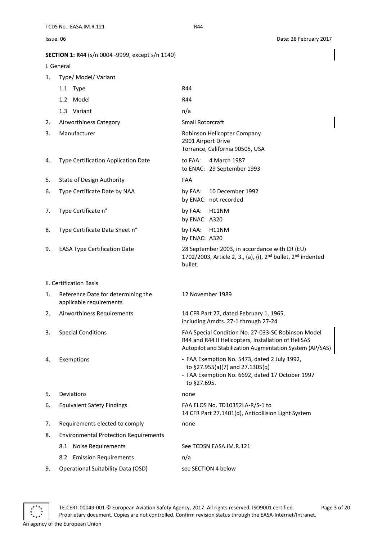<span id="page-2-1"></span><span id="page-2-0"></span>

|    | SECTION 1: R44 (s/n 0004 -9999, except s/n 1140)              |                                                                                                                                                                       |
|----|---------------------------------------------------------------|-----------------------------------------------------------------------------------------------------------------------------------------------------------------------|
|    | I. General                                                    |                                                                                                                                                                       |
| 1. | Type/ Model/ Variant                                          |                                                                                                                                                                       |
|    | 1.1 Type                                                      | R44                                                                                                                                                                   |
|    | 1.2 Model                                                     | R44                                                                                                                                                                   |
|    | 1.3 Variant                                                   | n/a                                                                                                                                                                   |
| 2. | Airworthiness Category                                        | Small Rotorcraft                                                                                                                                                      |
| 3. | Manufacturer                                                  | Robinson Helicopter Company<br>2901 Airport Drive<br>Torrance, California 90505, USA                                                                                  |
| 4. | Type Certification Application Date                           | to FAA:<br>4 March 1987<br>to ENAC: 29 September 1993                                                                                                                 |
| 5. | State of Design Authority                                     | FAA                                                                                                                                                                   |
| 6. | Type Certificate Date by NAA                                  | 10 December 1992<br>by FAA:<br>by ENAC: not recorded                                                                                                                  |
| 7. | Type Certificate n°                                           | by FAA:<br>H11NM<br>by ENAC: A320                                                                                                                                     |
| 8. | Type Certificate Data Sheet n°                                | by FAA:<br>H11NM<br>by ENAC: A320                                                                                                                                     |
| 9. | <b>EASA Type Certification Date</b>                           | 28 September 2003, in accordance with CR (EU)<br>1702/2003, Article 2, 3., (a), (i), 2 <sup>nd</sup> bullet, 2 <sup>nd</sup> indented<br>bullet.                      |
|    | <b>II. Certification Basis</b>                                |                                                                                                                                                                       |
| 1. | Reference Date for determining the<br>applicable requirements | 12 November 1989                                                                                                                                                      |
| 2. | Airworthiness Requirements                                    | 14 CFR Part 27, dated February 1, 1965,<br>including Amdts. 27-1 through 27-24                                                                                        |
| 3. | <b>Special Conditions</b>                                     | FAA Special Condition No. 27-033-SC Robinson Model<br>R44 and R44 II Helicopters, Installation of HeliSAS<br>Autopilot and Stabilization Augmentation System (AP/SAS) |
| 4. | Exemptions                                                    | - FAA Exemption No. 5473, dated 2 July 1992,<br>to §27.955(a)(7) and 27.1305(q)<br>- FAA Exemption No. 6692, dated 17 October 1997<br>to §27.695.                     |
| 5. | Deviations                                                    | none                                                                                                                                                                  |
| 6. | <b>Equivalent Safety Findings</b>                             | FAA ELOS No. TD10352LA-R/S-1 to<br>14 CFR Part 27.1401(d), Anticollision Light System                                                                                 |
| 7. | Requirements elected to comply                                | none                                                                                                                                                                  |
| 8. | <b>Environmental Protection Requirements</b>                  |                                                                                                                                                                       |
|    | <b>Noise Requirements</b><br>8.1                              | See TCDSN EASA.IM.R.121                                                                                                                                               |
|    | <b>Emission Requirements</b><br>8.2                           | n/a                                                                                                                                                                   |
| 9. | <b>Operational Suitability Data (OSD)</b>                     | see SECTION 4 below                                                                                                                                                   |

<span id="page-2-2"></span>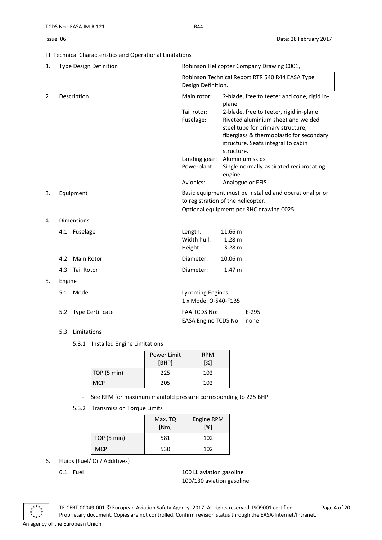### <span id="page-3-0"></span>**III. Technical Characteristics and Operational Limitations**

| 1. |        | <b>Type Design Definition</b> | Robinson Helicopter Company Drawing C001,                                                     |                             |                                                                                                                                                                                                      |
|----|--------|-------------------------------|-----------------------------------------------------------------------------------------------|-----------------------------|------------------------------------------------------------------------------------------------------------------------------------------------------------------------------------------------------|
|    |        |                               | Robinson Technical Report RTR 540 R44 EASA Type<br>Design Definition.                         |                             |                                                                                                                                                                                                      |
| 2. |        | Description                   | Main rotor:                                                                                   | plane                       | 2-blade, free to teeter and cone, rigid in-                                                                                                                                                          |
|    |        |                               | Tail rotor:<br>Fuselage:                                                                      | structure.                  | 2-blade, free to teeter, rigid in-plane<br>Riveted aluminium sheet and welded<br>steel tube for primary structure,<br>fiberglass & thermoplastic for secondary<br>structure. Seats integral to cabin |
|    |        |                               | Landing gear: Aluminium skids                                                                 |                             |                                                                                                                                                                                                      |
|    |        |                               | Powerplant:                                                                                   | engine                      | Single normally-aspirated reciprocating                                                                                                                                                              |
|    |        |                               | Avionics:                                                                                     |                             | Analogue or EFIS                                                                                                                                                                                     |
| 3. |        | Equipment                     | Basic equipment must be installed and operational prior<br>to registration of the helicopter. |                             |                                                                                                                                                                                                      |
|    |        |                               | Optional equipment per RHC drawing C025.                                                      |                             |                                                                                                                                                                                                      |
| 4. |        | <b>Dimensions</b>             |                                                                                               |                             |                                                                                                                                                                                                      |
|    |        | 4.1 Fuselage                  | Length:<br>Width hull:<br>Height:                                                             | 11.66 m<br>1.28 m<br>3.28 m |                                                                                                                                                                                                      |
|    | 4.2    | <b>Main Rotor</b>             | Diameter:                                                                                     | 10.06 m                     |                                                                                                                                                                                                      |
|    | 4.3    | Tail Rotor                    | Diameter:                                                                                     | 1.47 m                      |                                                                                                                                                                                                      |
| 5. | Engine |                               |                                                                                               |                             |                                                                                                                                                                                                      |
|    |        | 5.1 Model                     | <b>Lycoming Engines</b><br>1 x Model O-540-F1B5                                               |                             |                                                                                                                                                                                                      |
|    | 5.2    | Type Certificate              | <b>FAA TCDS No:</b><br><b>EASA Engine TCDS No:</b>                                            |                             | $E-295$<br>none                                                                                                                                                                                      |

### 5.3 Limitations

5.3.1 Installed Engine Limitations

|             | Power Limit | <b>RPM</b> |
|-------------|-------------|------------|
|             | [BHP]       | [%]        |
| TOP (5 min) | 225         | 102        |
| <b>MCP</b>  | 205         | 102        |

- See RFM for maximum manifold pressure corresponding to 225 BHP
- 5.3.2 Transmission Torque Limits

|             | Max. TQ<br>[Nm] | Engine RPM<br>[%] |
|-------------|-----------------|-------------------|
| TOP (5 min) | 581             | 102               |
| <b>MCP</b>  | 530             | 102               |

- 6. Fluids (Fuel/ Oil/ Additives)
	-

6.1 Fuel 100 LL aviation gasoline 100/130 aviation gasoline



TE.CERT.00049-001 © European Aviation Safety Agency, 2017. All rights reserved. ISO9001 certified. Page 4 of 20 Proprietary document. Copies are not controlled. Confirm revision status through the EASA-Internet/Intranet. An agency of the European Union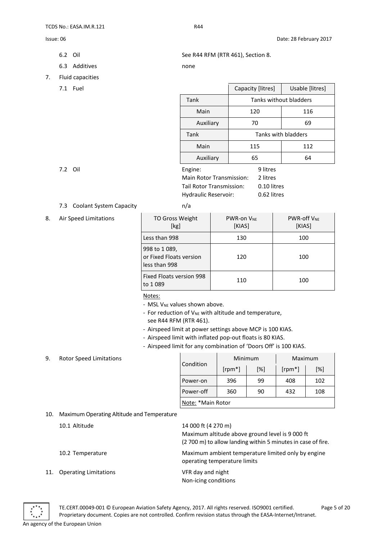- 
- 6.3 Additives none
- 7. Fluid capacities
	-

### 7.3 Coolant System Capacity **has a matrix** n/a

8. Air Speed Limitations

| <b>TO Gross Weight</b><br>[kg]                           | <b>PWR-on VNF</b><br>[KIAS] | <b>PWR-off VNF</b><br>[KIAS] |
|----------------------------------------------------------|-----------------------------|------------------------------|
| Less than 998                                            | 130                         | 100                          |
| 998 to 1089,<br>or Fixed Floats version<br>less than 998 | 120                         | 100                          |
| Fixed Floats version 998<br>to 1 089                     | 110                         | 100                          |

Notes:

- MSL V<sub>NE</sub> values shown above.
- For reduction of  $V_{NE}$  with altitude and temperature, see R44 RFM (RTR 461).
- Airspeed limit at power settings above MCP is 100 KIAS.
- Airspeed limit with inflated pop-out floats is 80 KIAS.
- Airspeed limit for any combination of 'Doors Off' is 100 KIAS.

### 9. Rotor Speed Limitations

|                   | Minimum   |     | Maximum   |     |
|-------------------|-----------|-----|-----------|-----|
| <b>Condition</b>  | $[rpm^*]$ | [%] | $[rpm^*]$ | [%] |
| Power-on          | 396       | 99  | 408       | 102 |
| Power-off         | 360       | 90  | 432       | 108 |
| Note: *Main Rotor |           |     |           |     |

### 10. Maximum Operating Altitude and Temperature

| 10.1 Altitude                       | 14 000 ft (4 270 m)<br>Maximum altitude above ground level is 9 000 ft<br>(2700 m) to allow landing within 5 minutes in case of fire. |
|-------------------------------------|---------------------------------------------------------------------------------------------------------------------------------------|
| 10.2 Temperature                    | Maximum ambient temperature limited only by engine<br>operating temperature limits                                                    |
| 11.<br><b>Operating Limitations</b> | VFR day and night<br>Non-icing conditions                                                                                             |



TE.CERT.00049-001 © European Aviation Safety Agency, 2017. All rights reserved. ISO9001 certified. Page 5 of 20 Proprietary document. Copies are not controlled. Confirm revision status through the EASA-Internet/Intranet. An agency of the European Union

6.2 Oil See R44 RFM (RTR 461), Section 8.

| 7.1<br>Fuel |                                 | Capacity [litres]   | Usable [litres]        |
|-------------|---------------------------------|---------------------|------------------------|
|             | Tank                            |                     | Tanks without bladders |
|             | Main                            | 120                 | 116                    |
|             | Auxiliary                       | 70                  | 69                     |
|             | Tank                            | Tanks with bladders |                        |
|             | Main                            | 115                 | 112                    |
|             | Auxiliary                       | 65                  | 64                     |
| 7.2 Oil     | Engine:                         | 9 litres            |                        |
|             | <b>Main Rotor Transmission:</b> | 2 litres            |                        |
|             | Tail Rotor Transmission:        | 0.10 litres         |                        |

| Main Rotor Transmission:    | 2 litres    |
|-----------------------------|-------------|
| Tail Rotor Transmission:    | 0.10 litres |
| <b>Hydraulic Reservoir:</b> | 0.62 litres |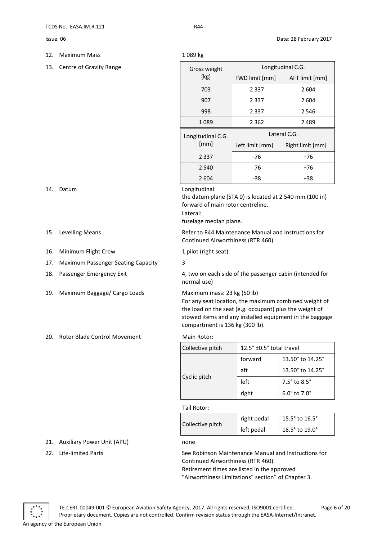- 12. Maximum Mass 1 089 kg
- 13. Centre of Gravity Range

| Gross weight      | Longitudinal C.G. |                  |  |
|-------------------|-------------------|------------------|--|
| [kg]              | FWD limit [mm]    | AFT limit [mm]   |  |
| 703               | 2 3 3 7           | 2 604            |  |
| 907               | 2 3 3 7           | 2604             |  |
| 998               | 2 3 3 7           | 2 5 4 6          |  |
| 1089              | 2 3 6 2           | 2489             |  |
| Longitudinal C.G. | Lateral C.G.      |                  |  |
| [mm]              | Left limit [mm]   | Right limit [mm] |  |
| 2 3 3 7           | -76               | $+76$            |  |
| 2 5 4 0           | -76               | +76              |  |
| 2 604             | -38               | +38              |  |

### 14. Datum Longitudinal:

the datum plane (STA 0) is located at 2 540 mm (100 in) forward of main rotor centreline. Lateral:

fuselage median plane.

15. Levelling Means **Refer to R44 Maintenance Manual and Instructions for** R44 Maintenance Manual and Instructions for Continued Airworthiness (RTR 460)

16. Minimum Flight Crew 1 pilot (right seat)

### 17. Maximum Passenger Seating Capacity 3

18. Passenger Emergency Exit 4, two on each side of the passenger cabin (intended for normal use)

19. Maximum Baggage/ Cargo Loads Maximum mass: 23 kg (50 lb)

For any seat location, the maximum combined weight of the load on the seat (e.g. occupant) plus the weight of stowed items and any installed equipment in the baggage compartment is 136 kg (300 lb).

### 20. Rotor Blade Control Movement Main Rotor:

| Collective pitch | 12.5° ±0.5° total travel |                                |
|------------------|--------------------------|--------------------------------|
| Cyclic pitch     | forward                  | 13.50° to 14.25°               |
|                  | aft                      | 13.50° to 14.25°               |
|                  | left                     | $7.5^\circ$ to $8.5^\circ$     |
|                  | right                    | $6.0^{\circ}$ to $7.0^{\circ}$ |

Tail Rotor:

|                  | right pedal | 15.5° to 16.5° |
|------------------|-------------|----------------|
| Collective pitch | left pedal  | 18.5° to 19.0° |

### 21. Auxiliary Power Unit (APU) none

22. Life-limited Parts See Robinson Maintenance Manual and Instructions for Continued Airworthiness (RTR 460).

Retirement times are listed in the approved "Airworthiness Limitations" section" of Chapter 3.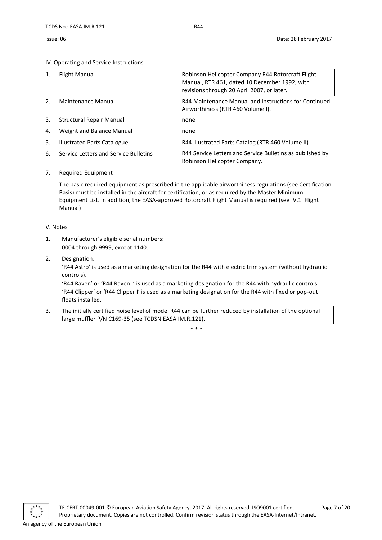### <span id="page-6-0"></span>IV. Operating and Service Instructions

| 1. | Flight Manual                         | Robinson Helicopter Company R44 Rotorcraft Flight<br>Manual, RTR 461, dated 10 December 1992, with<br>revisions through 20 April 2007, or later. |
|----|---------------------------------------|--------------------------------------------------------------------------------------------------------------------------------------------------|
| 2. | Maintenance Manual                    | R44 Maintenance Manual and Instructions for Continued<br>Airworthiness (RTR 460 Volume I).                                                       |
| 3. | Structural Repair Manual              | none                                                                                                                                             |
| 4. | Weight and Balance Manual             | none                                                                                                                                             |
| 5. | Illustrated Parts Catalogue           | R44 Illustrated Parts Catalog (RTR 460 Volume II)                                                                                                |
| 6. | Service Letters and Service Bulletins | R44 Service Letters and Service Bulletins as published by<br>Robinson Helicopter Company.                                                        |

### 7. Required Equipment

The basic required equipment as prescribed in the applicable airworthiness regulations (see Certification Basis) must be installed in the aircraft for certification, or as required by the Master Minimum Equipment List. In addition, the EASA-approved Rotorcraft Flight Manual is required (see IV.1. Flight Manual)

### <span id="page-6-1"></span>V. Notes

- 1. Manufacturer's eligible serial numbers: 0004 through 9999, except 1140.
- 2. Designation:

'R44 Astro' is used as a marketing designation for the R44 with electric trim system (without hydraulic controls).

'R44 Raven' or 'R44 Raven I' is used as a marketing designation for the R44 with hydraulic controls. 'R44 Clipper' or 'R44 Clipper I' is used as a marketing designation for the R44 with fixed or pop-out floats installed.

3. The initially certified noise level of model R44 can be further reduced by installation of the optional large muffler P/N C169-35 (see TCDSN EASA.IM.R.121).

\* \* \*

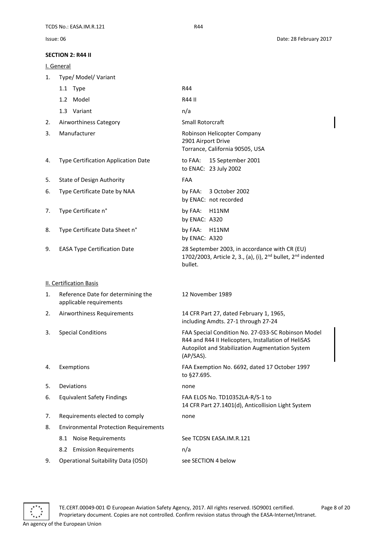<span id="page-7-2"></span><span id="page-7-1"></span><span id="page-7-0"></span>

|    | I. General                                                    |                                                                                                                                                                              |  |  |
|----|---------------------------------------------------------------|------------------------------------------------------------------------------------------------------------------------------------------------------------------------------|--|--|
| 1. | Type/ Model/ Variant                                          |                                                                                                                                                                              |  |  |
|    | 1.1 Type                                                      | R44                                                                                                                                                                          |  |  |
|    | 1.2 Model                                                     | R44 II                                                                                                                                                                       |  |  |
|    | 1.3 Variant                                                   | n/a                                                                                                                                                                          |  |  |
| 2. | Airworthiness Category                                        | <b>Small Rotorcraft</b>                                                                                                                                                      |  |  |
| 3. | Manufacturer                                                  | Robinson Helicopter Company<br>2901 Airport Drive<br>Torrance, California 90505, USA                                                                                         |  |  |
| 4. | Type Certification Application Date                           | 15 September 2001<br>to FAA:<br>to ENAC: 23 July 2002                                                                                                                        |  |  |
| 5. | <b>State of Design Authority</b>                              | FAA                                                                                                                                                                          |  |  |
| 6. | Type Certificate Date by NAA                                  | by FAA: 3 October 2002<br>by ENAC: not recorded                                                                                                                              |  |  |
| 7. | Type Certificate n°                                           | by FAA: H11NM<br>by ENAC: A320                                                                                                                                               |  |  |
| 8. | Type Certificate Data Sheet n°                                | by FAA: H11NM<br>by ENAC: A320                                                                                                                                               |  |  |
| 9. | <b>EASA Type Certification Date</b>                           | 28 September 2003, in accordance with CR (EU)<br>1702/2003, Article 2, 3., (a), (i), 2 <sup>nd</sup> bullet, 2 <sup>nd</sup> indented<br>bullet.                             |  |  |
|    | <b>II. Certification Basis</b>                                |                                                                                                                                                                              |  |  |
| 1. | Reference Date for determining the<br>applicable requirements | 12 November 1989                                                                                                                                                             |  |  |
| 2. | Airworthiness Requirements                                    | 14 CFR Part 27, dated February 1, 1965,<br>including Amdts. 27-1 through 27-24                                                                                               |  |  |
| 3. | <b>Special Conditions</b>                                     | FAA Special Condition No. 27-033-SC Robinson Model<br>R44 and R44 II Helicopters, Installation of HeliSAS<br>Autopilot and Stabilization Augmentation System<br>$(AP/SAS)$ . |  |  |
| 4. | Exemptions                                                    | FAA Exemption No. 6692, dated 17 October 1997<br>to §27.695.                                                                                                                 |  |  |
| 5. | Deviations                                                    | none                                                                                                                                                                         |  |  |
| 6. | <b>Equivalent Safety Findings</b>                             | FAA ELOS No. TD10352LA-R/S-1 to<br>14 CFR Part 27.1401(d), Anticollision Light System                                                                                        |  |  |
| 7. | Requirements elected to comply                                | none                                                                                                                                                                         |  |  |
| 8. | <b>Environmental Protection Requirements</b>                  |                                                                                                                                                                              |  |  |
|    | 8.1 Noise Requirements                                        | See TCDSN EASA.IM.R.121                                                                                                                                                      |  |  |
|    | 8.2 Emission Requirements                                     | n/a                                                                                                                                                                          |  |  |
| 9. | <b>Operational Suitability Data (OSD)</b>                     | see SECTION 4 below                                                                                                                                                          |  |  |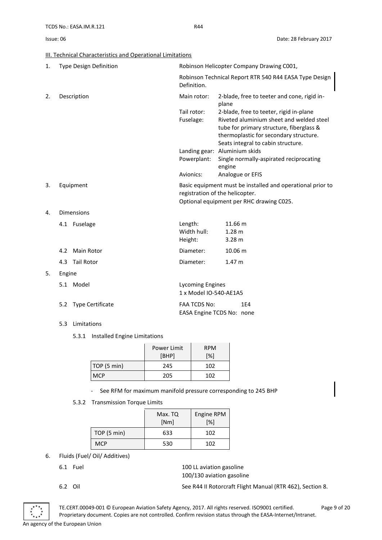### <span id="page-8-0"></span>III. Technical Characteristics and Operational Limitations

| 1. | <b>Type Design Definition</b>  | Robinson Helicopter Company Drawing C001,                                                                                                 |                                                                                                                                                                                                                 |
|----|--------------------------------|-------------------------------------------------------------------------------------------------------------------------------------------|-----------------------------------------------------------------------------------------------------------------------------------------------------------------------------------------------------------------|
|    |                                | Definition.                                                                                                                               | Robinson Technical Report RTR 540 R44 EASA Type Design                                                                                                                                                          |
| 2. | Description                    | Main rotor:                                                                                                                               | 2-blade, free to teeter and cone, rigid in-<br>plane                                                                                                                                                            |
|    |                                | Tail rotor:<br>Fuselage:                                                                                                                  | 2-blade, free to teeter, rigid in-plane<br>Riveted aluminium sheet and welded steel<br>tube for primary structure, fiberglass &<br>thermoplastic for secondary structure.<br>Seats integral to cabin structure. |
|    |                                |                                                                                                                                           | Landing gear: Aluminium skids                                                                                                                                                                                   |
|    |                                | Powerplant:                                                                                                                               | Single normally-aspirated reciprocating<br>engine                                                                                                                                                               |
|    |                                | Avionics:                                                                                                                                 | Analogue or EFIS                                                                                                                                                                                                |
| 3. | Equipment                      | Basic equipment must be installed and operational prior to<br>registration of the helicopter.<br>Optional equipment per RHC drawing C025. |                                                                                                                                                                                                                 |
| 4. | <b>Dimensions</b>              |                                                                                                                                           |                                                                                                                                                                                                                 |
|    | 4.1 Fuselage                   | Length:<br>Width hull:<br>Height:                                                                                                         | 11.66 m<br>1.28 <sub>m</sub><br>3.28 <sub>m</sub>                                                                                                                                                               |
|    | Main Rotor<br>4.2              | Diameter:                                                                                                                                 | 10.06 m                                                                                                                                                                                                         |
|    | <b>Tail Rotor</b><br>4.3       | Diameter:                                                                                                                                 | 1.47 m                                                                                                                                                                                                          |
| 5. | Engine                         |                                                                                                                                           |                                                                                                                                                                                                                 |
|    | 5.1 Model                      | <b>Lycoming Engines</b><br>1 x Model IO-540-AE1A5                                                                                         |                                                                                                                                                                                                                 |
|    | <b>Type Certificate</b><br>5.2 | <b>FAA TCDS No:</b>                                                                                                                       | 1E4<br>EASA Engine TCDS No: none                                                                                                                                                                                |

5.3 Limitations

5.3.1 Installed Engine Limitations

|             | Power Limit<br>[BHP] | <b>RPM</b><br>[%] |
|-------------|----------------------|-------------------|
| TOP (5 min) | 245                  | 102               |
| <b>MCP</b>  | 205                  | 102               |

- See RFM for maximum manifold pressure corresponding to 245 BHP
- 5.3.2 Transmission Torque Limits

|            | Max. TQ<br>[Nm] | Engine RPM<br>[%] |
|------------|-----------------|-------------------|
| TOP(5 min) | 633             | 102               |
| <b>MCP</b> | 530             | 102               |

- 6. Fluids (Fuel/ Oil/ Additives)
	-

6.1 Fuel 100 LL aviation gasoline 100/130 aviation gasoline



TE.CERT.00049-001 © European Aviation Safety Agency, 2017. All rights reserved. ISO9001 certified. Page 9 of 20 Proprietary document. Copies are not controlled. Confirm revision status through the EASA-Internet/Intranet. An agency of the European Union

<sup>6.2</sup> Oil See R44 II Rotorcraft Flight Manual (RTR 462), Section 8.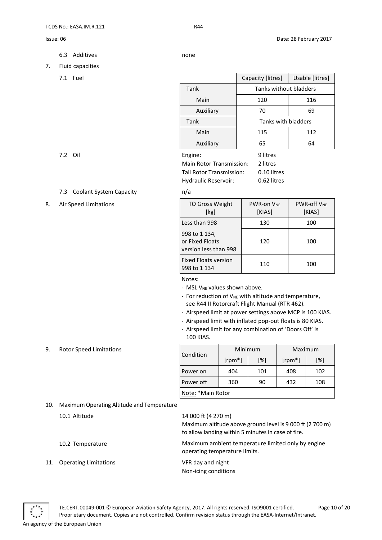- 6.3 Additives none
- 

- 7. Fluid capacities
	-

| 7.1<br>Fuel |           | Capacity [litres]      | Usable [litres] |
|-------------|-----------|------------------------|-----------------|
|             | Tank      | Tanks without bladders |                 |
|             | Main      | 120                    | 116             |
|             | Auxiliary | 70                     | 69              |
|             | Tank      | Tanks with bladders    |                 |
|             | Main      | 115                    | 112             |
|             | Auxiliary | 65                     | 64              |
| 7.2 Oil     | Engine:   | 9 litres               |                 |

| <b>Main Rotor Transmission:</b> | 2 litres    |
|---------------------------------|-------------|
| Tail Rotor Transmission:        | 0.10 litres |
| Hydraulic Reservoir:            | 0.62 litres |
|                                 |             |

### 7.3 Coolant System Capacity **has a matrix** n/a

### 8. Air Speed Limitations **TO Gross Weight** [kg] PWR-on VNE [KIAS] PWR-off VNE [KIAS] Less than 998 130 100 998 to 1 134, or Fixed Floats version less than 998 120 100 Fixed Floats version 998 to 1 134 110 100

### Notes:

- MSL V<sub>NE</sub> values shown above.

- For reduction of V<sub>NE</sub> with altitude and temperature, see R44 II Rotorcraft Flight Manual (RTR 462).

- Airspeed limit at power settings above MCP is 100 KIAS.
- Airspeed limit with inflated pop-out floats is 80 KIAS.
- Airspeed limit for any combination of 'Doors Off' is 100 KIAS.

9. Rotor Speed Limitations

|                   |           | Maximum<br>Minimum |           |     |
|-------------------|-----------|--------------------|-----------|-----|
| Condition         | $[rpm^*]$ | [%]                | $[rpm^*]$ | [%] |
| Power on          | 404       | 101                | 408       | 102 |
| Power off         | 360       | 90                 | 432       | 108 |
| Note: *Main Rotor |           |                    |           |     |

10. Maximum Operating Altitude and Temperature

| 10.1 Altitude             | 14 000 ft (4 270 m)<br>Maximum altitude above ground level is 9 000 ft (2 700 m)<br>to allow landing within 5 minutes in case of fire. |
|---------------------------|----------------------------------------------------------------------------------------------------------------------------------------|
| 10.2 Temperature          | Maximum ambient temperature limited only by engine<br>operating temperature limits.                                                    |
| 11. Operating Limitations | VFR day and night<br>Non-icing conditions                                                                                              |



TE.CERT.00049-001 © European Aviation Safety Agency, 2017. All rights reserved. ISO9001 certified. Page 10 of 20 Proprietary document. Copies are not controlled. Confirm revision status through the EASA-Internet/Intranet.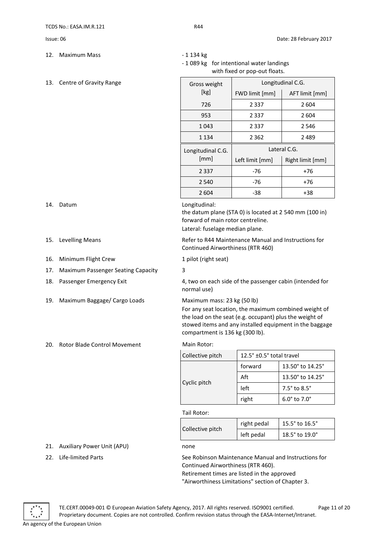- 12. Maximum Mass **12.** Maximum Mass
- 13. Centre of Gravity Range

- 
- 
- 16. Minimum Flight Crew 1 pilot (right seat)
- 17. Maximum Passenger Seating Capacity 3
- 
- 19. Maximum Baggage/ Cargo Loads Maximum mass: 23 kg (50 lb)
- 20. Rotor Blade Control Movement Main Rotor:

- 1 089 kg for intentional water landings with fixed or pop-out floats.

| Gross weight      | Longitudinal C.G. |                  |  |
|-------------------|-------------------|------------------|--|
| [kg]              | FWD limit [mm]    | AFT limit [mm]   |  |
| 726               | 2 3 3 7           | 2 604            |  |
| 953               | 2 3 3 7           | 2 604            |  |
| 1 0 4 3           | 2 3 3 7           | 2546             |  |
| 1 134             | 2 362             | 2 489            |  |
| Longitudinal C.G. | Lateral C.G.      |                  |  |
| [mm]              | Left limit [mm]   | Right limit [mm] |  |
| 2 3 3 7           | -76               | +76              |  |
| 2 540             | -76               | +76              |  |
| 2 604             | -38               | +38              |  |

14. Datum Longitudinal:

the datum plane (STA 0) is located at 2 540 mm (100 in) forward of main rotor centreline.

Lateral: fuselage median plane.

15. Levelling Means **Refer to R44 Maintenance Manual and Instructions for** Refer to R44 Maintenance Manual and Instructions for Continued Airworthiness (RTR 460)

18. Passenger Emergency Exit 4, two on each side of the passenger cabin (intended for normal use)

For any seat location, the maximum combined weight of

the load on the seat (e.g. occupant) plus the weight of stowed items and any installed equipment in the baggage compartment is 136 kg (300 lb).

| Collective pitch | 12.5° ±0.5° total travel |                                |
|------------------|--------------------------|--------------------------------|
| Cyclic pitch     | forward                  | 13.50° to 14.25°               |
|                  | Aft                      | 13.50° to 14.25°               |
|                  | left                     | $7.5^\circ$ to $8.5^\circ$     |
|                  | right                    | $6.0^{\circ}$ to $7.0^{\circ}$ |

### Tail Rotor:

| Collective pitch | right pedal | 15.5° to 16.5° |
|------------------|-------------|----------------|
|                  | left pedal  | 18.5° to 19.0° |

### 21. Auxiliary Power Unit (APU) none

22. Life-limited Parts See Robinson Maintenance Manual and Instructions for Continued Airworthiness (RTR 460).

> Retirement times are listed in the approved "Airworthiness Limitations" section of Chapter 3.

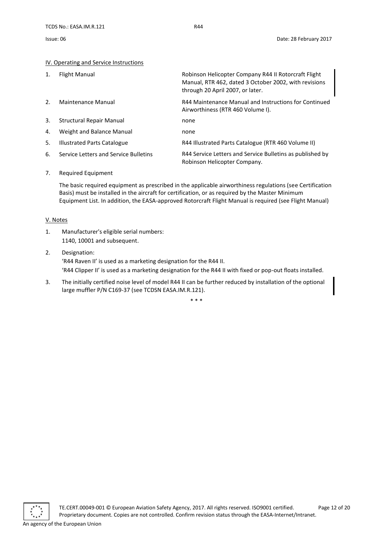### <span id="page-11-0"></span>IV. Operating and Service Instructions

| 1. | Flight Manual                         | Robinson Helicopter Company R44 II Rotorcraft Flight<br>Manual, RTR 462, dated 3 October 2002, with revisions<br>through 20 April 2007, or later. |
|----|---------------------------------------|---------------------------------------------------------------------------------------------------------------------------------------------------|
| 2. | Maintenance Manual                    | R44 Maintenance Manual and Instructions for Continued<br>Airworthiness (RTR 460 Volume I).                                                        |
| 3. | <b>Structural Repair Manual</b>       | none                                                                                                                                              |
| 4. | Weight and Balance Manual             | none                                                                                                                                              |
| 5. | <b>Illustrated Parts Catalogue</b>    | R44 Illustrated Parts Catalogue (RTR 460 Volume II)                                                                                               |
| 6. | Service Letters and Service Bulletins | R44 Service Letters and Service Bulletins as published by<br>Robinson Helicopter Company.                                                         |

### 7. Required Equipment

The basic required equipment as prescribed in the applicable airworthiness regulations (see Certification Basis) must be installed in the aircraft for certification, or as required by the Master Minimum Equipment List. In addition, the EASA-approved Rotorcraft Flight Manual is required (see Flight Manual)

### <span id="page-11-1"></span>V. Notes

- 1. Manufacturer's eligible serial numbers: 1140, 10001 and subsequent.
- 2. Designation: 'R44 Raven II' is used as a marketing designation for the R44 II. 'R44 Clipper II' is used as a marketing designation for the R44 II with fixed or pop-out floats installed.
- 3. The initially certified noise level of model R44 II can be further reduced by installation of the optional large muffler P/N C169-37 (see TCDSN EASA.IM.R.121).

\* \* \*

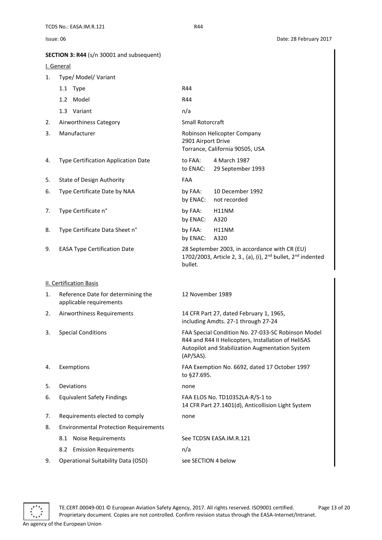| Issue: 06                                        | Date: 28 February 2017 |
|--------------------------------------------------|------------------------|
| <b>SECTION 3: R44</b> (s/n 30001 and subsequent) |                        |

<span id="page-12-2"></span><span id="page-12-1"></span><span id="page-12-0"></span>

|    | I. General                                                    |                                                                                                                                                                                     |
|----|---------------------------------------------------------------|-------------------------------------------------------------------------------------------------------------------------------------------------------------------------------------|
| 1. | Type/ Model/ Variant                                          |                                                                                                                                                                                     |
|    | 1.1 Type                                                      | R44                                                                                                                                                                                 |
|    | 1.2 Model                                                     | R44                                                                                                                                                                                 |
|    | 1.3 Variant                                                   | n/a                                                                                                                                                                                 |
| 2. | Airworthiness Category                                        | Small Rotorcraft                                                                                                                                                                    |
| 3. | Manufacturer                                                  | Robinson Helicopter Company<br>2901 Airport Drive<br>Torrance, California 90505, USA                                                                                                |
| 4. | Type Certification Application Date                           | to FAA:<br>4 March 1987<br>to ENAC:<br>29 September 1993                                                                                                                            |
| 5. | <b>State of Design Authority</b>                              | FAA                                                                                                                                                                                 |
| 6. | Type Certificate Date by NAA                                  | 10 December 1992<br>by FAA:<br>by ENAC:<br>not recorded                                                                                                                             |
| 7. | Type Certificate n°                                           | by FAA:<br>H11NM<br>by ENAC:<br>A320                                                                                                                                                |
| 8. | Type Certificate Data Sheet n°                                | by FAA:<br>H11NM<br>by ENAC:<br>A320                                                                                                                                                |
| 9. | <b>EASA Type Certification Date</b>                           | 28 September 2003, in accordance with CR (EU)<br>1702/2003, Article 2, 3., (a), (i), 2 <sup>nd</sup> bullet, 2 <sup>nd</sup> indented<br>bullet.                                    |
|    | <b>II. Certification Basis</b>                                |                                                                                                                                                                                     |
| 1. | Reference Date for determining the<br>applicable requirements | 12 November 1989                                                                                                                                                                    |
| 2. | Airworthiness Requirements                                    | 14 CFR Part 27, dated February 1, 1965,<br>including Amdts. 27-1 through 27-24                                                                                                      |
| 3. | <b>Special Conditions</b>                                     | FAA Special Condition No. 27-033-SC Robinson Model<br>R44 and R44 II Helicopters, Installation of HeliSAS<br><b>Autopilot and Stabilization Augmentation System</b><br>$(AP/SAS)$ . |
| 4. | Exemptions                                                    | FAA Exemption No. 6692, dated 17 October 1997<br>to §27.695.                                                                                                                        |
| 5. | Deviations                                                    | none                                                                                                                                                                                |
| 6. | <b>Equivalent Safety Findings</b>                             | FAA ELOS No. TD10352LA-R/S-1 to<br>14 CFR Part 27.1401(d), Anticollision Light System                                                                                               |
| 7. | Requirements elected to comply                                | none                                                                                                                                                                                |
| 8. | <b>Environmental Protection Requirements</b>                  |                                                                                                                                                                                     |
|    | <b>Noise Requirements</b><br>8.1                              | See TCDSN EASA.IM.R.121                                                                                                                                                             |
|    | <b>Emission Requirements</b><br>8.2                           | n/a                                                                                                                                                                                 |
| 9. | <b>Operational Suitability Data (OSD)</b>                     | see SECTION 4 below                                                                                                                                                                 |



TE.CERT.00049-001 © European Aviation Safety Agency, 2017. All rights reserved. ISO9001 certified. Page 13 of 20 Proprietary document. Copies are not controlled. Confirm revision status through the EASA-Internet/Intranet.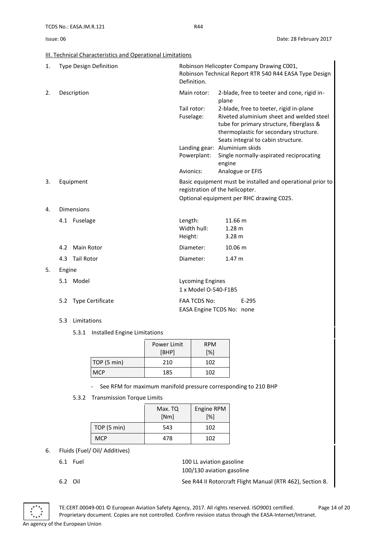<span id="page-13-0"></span>III. Technical Characteristics and Operational Limitations

| 1. | <b>Type Design Definition</b> | Robinson Helicopter Company Drawing C001,<br>Robinson Technical Report RTR 540 R44 EASA Type Design<br>Definition.                        |                                                                                                                                                                                                                 |
|----|-------------------------------|-------------------------------------------------------------------------------------------------------------------------------------------|-----------------------------------------------------------------------------------------------------------------------------------------------------------------------------------------------------------------|
| 2. | Description                   | Main rotor:                                                                                                                               | 2-blade, free to teeter and cone, rigid in-<br>plane                                                                                                                                                            |
|    |                               | Tail rotor:<br>Fuselage:                                                                                                                  | 2-blade, free to teeter, rigid in-plane<br>Riveted aluminium sheet and welded steel<br>tube for primary structure, fiberglass &<br>thermoplastic for secondary structure.<br>Seats integral to cabin structure. |
|    |                               |                                                                                                                                           | Landing gear: Aluminium skids                                                                                                                                                                                   |
|    |                               | Powerplant:                                                                                                                               | Single normally-aspirated reciprocating<br>engine                                                                                                                                                               |
|    |                               | Avionics:                                                                                                                                 | Analogue or EFIS                                                                                                                                                                                                |
| 3. | Equipment                     | Basic equipment must be installed and operational prior to<br>registration of the helicopter.<br>Optional equipment per RHC drawing C025. |                                                                                                                                                                                                                 |
| 4. | <b>Dimensions</b>             |                                                                                                                                           |                                                                                                                                                                                                                 |
|    | 4.1 Fuselage                  | Length:<br>Width hull:<br>Height:                                                                                                         | 11.66 m<br>1.28 <sub>m</sub><br>3.28 <sub>m</sub>                                                                                                                                                               |
|    | <b>Main Rotor</b><br>4.2      | Diameter:                                                                                                                                 | 10.06 m                                                                                                                                                                                                         |
|    | <b>Tail Rotor</b><br>4.3      | Diameter:                                                                                                                                 | 1.47 <sub>m</sub>                                                                                                                                                                                               |
| 5. | Engine                        |                                                                                                                                           |                                                                                                                                                                                                                 |
|    | 5.1 Model                     | <b>Lycoming Engines</b><br>1 x Model O-540-F1B5                                                                                           |                                                                                                                                                                                                                 |

|                      | 1 x Model O-540-F1B5      |       |
|----------------------|---------------------------|-------|
| 5.2 Type Certificate | FAA TCDS No:              | E-295 |
|                      | EASA Engine TCDS No: none |       |

- 5.3 Limitations
	- 5.3.1 Installed Engine Limitations

|             | Power Limit<br>[BHP] | <b>RPM</b><br>[%] |
|-------------|----------------------|-------------------|
| TOP (5 min) | 210                  | 102               |
| <b>MCP</b>  | 185                  | 102               |

- See RFM for maximum manifold pressure corresponding to 210 BHP
- 5.3.2 Transmission Torque Limits

|             | Max. TQ<br>[Nm] | Engine RPM<br>[%] |
|-------------|-----------------|-------------------|
| TOP (5 min) | 543             | 102               |
| <b>MCP</b>  | 478             | 102               |

- 6. Fluids (Fuel/ Oil/ Additives)
	-

6.1 Fuel 200 LL aviation gasoline 100/130 aviation gasoline

TE.CERT.00049-001 © European Aviation Safety Agency, 2017. All rights reserved. ISO9001 certified. Page 14 of 20 Proprietary document. Copies are not controlled. Confirm revision status through the EASA-Internet/Intranet.

<sup>6.2</sup> Oil See R44 II Rotorcraft Flight Manual (RTR 462), Section 8.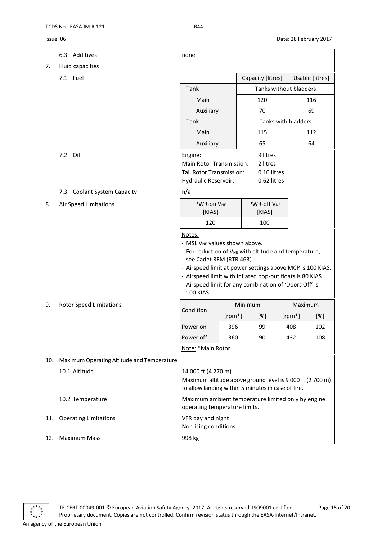- 6.3 Additives none
	-

8. Air Speed Limitations

9. Rotor Speed Limitations

- 7. Fluid capacities
	-

|     | r ruru cupucrtico              |                                                         |                            |                 |
|-----|--------------------------------|---------------------------------------------------------|----------------------------|-----------------|
|     | 7.1 Fuel                       |                                                         | Capacity [litres]          | Usable [litres] |
|     |                                | Tank                                                    | Tanks without bladders     |                 |
|     |                                | Main                                                    | 120                        | 116             |
|     |                                | Auxiliary                                               | 70                         | 69              |
|     |                                | Tank                                                    | Tanks with bladders        |                 |
|     |                                | Main                                                    | 115                        | 112             |
|     |                                | Auxiliary                                               | 65                         | 64              |
|     | 7.2 Oil                        | Engine:<br><b>Main Rotor Transmission:</b>              | 9 litres<br>2 litres       |                 |
|     |                                | Tail Rotor Transmission:<br><b>Hydraulic Reservoir:</b> | 0.10 litres<br>0.62 litres |                 |
| 7.3 | <b>Coolant System Capacity</b> | n/a                                                     |                            |                 |
|     |                                |                                                         |                            |                 |

| <b>PWR-on VNE</b> | <b>PWR-off VNF</b> |  |
|-------------------|--------------------|--|
| [KIAS]            | [KIAS]             |  |
| 120               | 100                |  |

### Notes:

- MSL V<sub>NE</sub> values shown above.

- For reduction of V<sub>NE</sub> with altitude and temperature, see Cadet RFM (RTR 463).

- Airspeed limit at power settings above MCP is 100 KIAS.

- Airspeed limit with inflated pop-out floats is 80 KIAS.

- Airspeed limit for any combination of 'Doors Off' is 100 KIAS.

|                   | Minimum   |     | Maximum   |     |
|-------------------|-----------|-----|-----------|-----|
| Condition         | $[rpm^*]$ | [%] | $[rpm^*]$ | [%] |
| Power on          | 396       | 99  | 408       | 102 |
| Power off         | 360       | 90  | 432       | 108 |
| Note: *Main Rotor |           |     |           |     |

10. Maximum Operating Altitude and Temperature

|     | 10.1 Altitude                | 14 000 ft (4 270 m)<br>Maximum altitude above ground level is 9 000 ft (2 700 m)<br>to allow landing within 5 minutes in case of fire. |
|-----|------------------------------|----------------------------------------------------------------------------------------------------------------------------------------|
|     | 10.2 Temperature             | Maximum ambient temperature limited only by engine<br>operating temperature limits.                                                    |
| 11. | <b>Operating Limitations</b> | VFR day and night<br>Non-icing conditions                                                                                              |
|     | <b>Maximum Mass</b>          | 998 kg                                                                                                                                 |

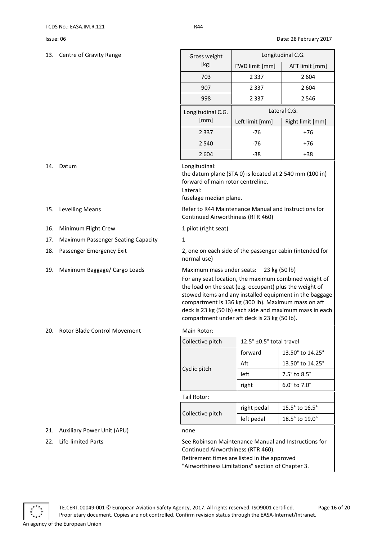13. Centre of Gravity Range

| Gross weight      | Longitudinal C.G. |                  |  |
|-------------------|-------------------|------------------|--|
| [kg]              | FWD limit [mm]    | AFT limit [mm]   |  |
| 703               | 2 3 3 7           | 2 604            |  |
| 907               | 2 3 3 7           | 2604             |  |
| 998               | 2 3 3 7           | 2 546            |  |
|                   |                   |                  |  |
| Longitudinal C.G. |                   | Lateral C.G.     |  |
| [mm]              | Left limit [mm]   | Right limit [mm] |  |
| 2 3 3 7           | -76               | +76              |  |
| 2 5 4 0           | -76               | $+76$            |  |

- 
- 16. Minimum Flight Crew 1 pilot (right seat)
- 17. Maximum Passenger Seating Capacity 1
- 
- 

20. Rotor Blade Control Movement Main Rotor:

- 21. Auxiliary Power Unit (APU) none
- 

14. Datum Longitudinal:

the datum plane (STA 0) is located at 2 540 mm (100 in) forward of main rotor centreline.

Lateral:

fuselage median plane.

15. Levelling Means **Refer to R44 Maintenance Manual and Instructions for** Refer to R44 Maintenance Manual and Instructions for Continued Airworthiness (RTR 460)

18. Passenger Emergency Exit 2, one on each side of the passenger cabin (intended for normal use)

19. Maximum Baggage/ Cargo Loads Maximum mass under seats: 23 kg (50 lb)

For any seat location, the maximum combined weight of the load on the seat (e.g. occupant) plus the weight of stowed items and any installed equipment in the baggage compartment is 136 kg (300 lb). Maximum mass on aft deck is 23 kg (50 lb) each side and maximum mass in each compartment under aft deck is 23 kg (50 lb).

| Collective pitch | 12.5° ±0.5° total travel |                                      |  |
|------------------|--------------------------|--------------------------------------|--|
|                  | forward                  | 13.50 $^{\circ}$ to 14.25 $^{\circ}$ |  |
|                  | Aft                      | 13.50° to 14.25°                     |  |
| Cyclic pitch     | left                     | $7.5^{\circ}$ to $8.5^{\circ}$       |  |
|                  | right                    | $6.0^\circ$ to $7.0^\circ$           |  |
| Tail Rotor:      |                          |                                      |  |
|                  | right pedal              | 15.5° to 16.5°                       |  |
| Collective pitch | left pedal               | 18.5° to 19.0°                       |  |

22. Life-limited Parts See Robinson Maintenance Manual and Instructions for Continued Airworthiness (RTR 460).

> Retirement times are listed in the approved "Airworthiness Limitations" section of Chapter 3.



TE.CERT.00049-001 © European Aviation Safety Agency, 2017. All rights reserved. ISO9001 certified. Page 16 of 20 Proprietary document. Copies are not controlled. Confirm revision status through the EASA-Internet/Intranet.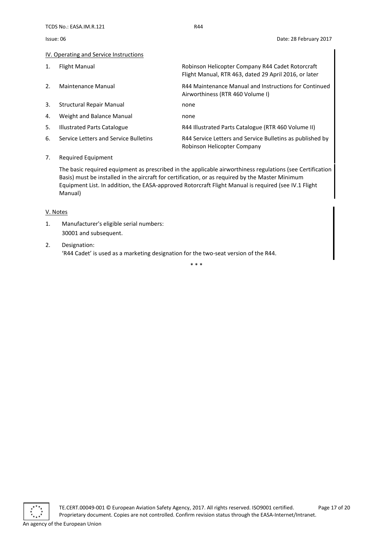Issue: 06 Date: 28 February 2017

### <span id="page-16-0"></span>IV. Operating and Service Instructions

| $\mathbf{1}$ . | Flight Manual                         | Robinson Helicopter Company R44 Cadet Rotorcraft<br>Flight Manual, RTR 463, dated 29 April 2016, or later |
|----------------|---------------------------------------|-----------------------------------------------------------------------------------------------------------|
| 2.             | Maintenance Manual                    | R44 Maintenance Manual and Instructions for Continued<br>Airworthiness (RTR 460 Volume I)                 |
| 3.             | Structural Repair Manual              | none                                                                                                      |
| 4.             | Weight and Balance Manual             | none                                                                                                      |
| 5.             | Illustrated Parts Catalogue           | R44 Illustrated Parts Catalogue (RTR 460 Volume II)                                                       |
| 6.             | Service Letters and Service Bulletins | R44 Service Letters and Service Bulletins as published by<br>Robinson Helicopter Company                  |

### 7. Required Equipment

The basic required equipment as prescribed in the applicable airworthiness regulations (see Certification Basis) must be installed in the aircraft for certification, or as required by the Master Minimum Equipment List. In addition, the EASA-approved Rotorcraft Flight Manual is required (see IV.1 Flight Manual)

### <span id="page-16-1"></span>V. Notes

- 1. Manufacturer's eligible serial numbers: 30001 and subsequent.
- 2. Designation: 'R44 Cadet' is used as a marketing designation for the two-seat version of the R44.

\* \* \*

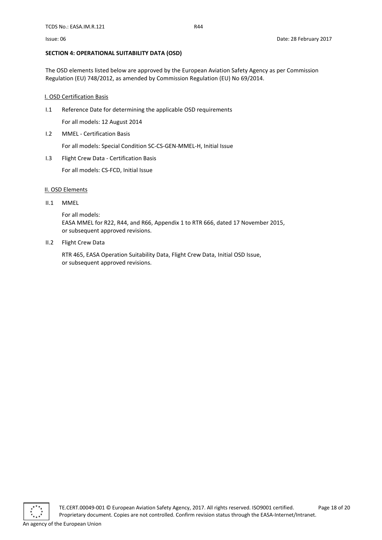### <span id="page-17-0"></span>**SECTION 4: OPERATIONAL SUITABILITY DATA (OSD)**

The OSD elements listed below are approved by the European Aviation Safety Agency as per Commission Regulation (EU) 748/2012, as amended by Commission Regulation (EU) No 69/2014.

### <span id="page-17-1"></span>I. OSD Certification Basis

I.1 Reference Date for determining the applicable OSD requirements

For all models: 12 August 2014

I.2 MMEL - Certification Basis

For all models: Special Condition SC-CS-GEN-MMEL-H, Initial Issue

I.3 Flight Crew Data - Certification Basis

For all models: CS-FCD, Initial Issue

### <span id="page-17-2"></span>II. OSD Elements

### II.1 MMEL

For all models: EASA MMEL for R22, R44, and R66, Appendix 1 to RTR 666, dated 17 November 2015, or subsequent approved revisions.

II.2 Flight Crew Data

RTR 465, EASA Operation Suitability Data, Flight Crew Data, Initial OSD Issue, or subsequent approved revisions.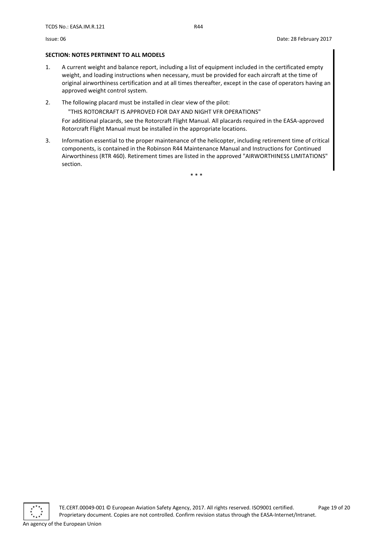### <span id="page-18-0"></span>**SECTION: NOTES PERTINENT TO ALL MODELS**

- 1. A current weight and balance report, including a list of equipment included in the certificated empty weight, and loading instructions when necessary, must be provided for each aircraft at the time of original airworthiness certification and at all times thereafter, except in the case of operators having an approved weight control system.
- 2. The following placard must be installed in clear view of the pilot:

"THIS ROTORCRAFT IS APPROVED FOR DAY AND NIGHT VFR OPERATIONS"

For additional placards, see the Rotorcraft Flight Manual. All placards required in the EASA-approved Rotorcraft Flight Manual must be installed in the appropriate locations.

3. Information essential to the proper maintenance of the helicopter, including retirement time of critical components, is contained in the Robinson R44 Maintenance Manual and Instructions for Continued Airworthiness (RTR 460). Retirement times are listed in the approved "AIRWORTHINESS LIMITATIONS" section.

\* \* \*